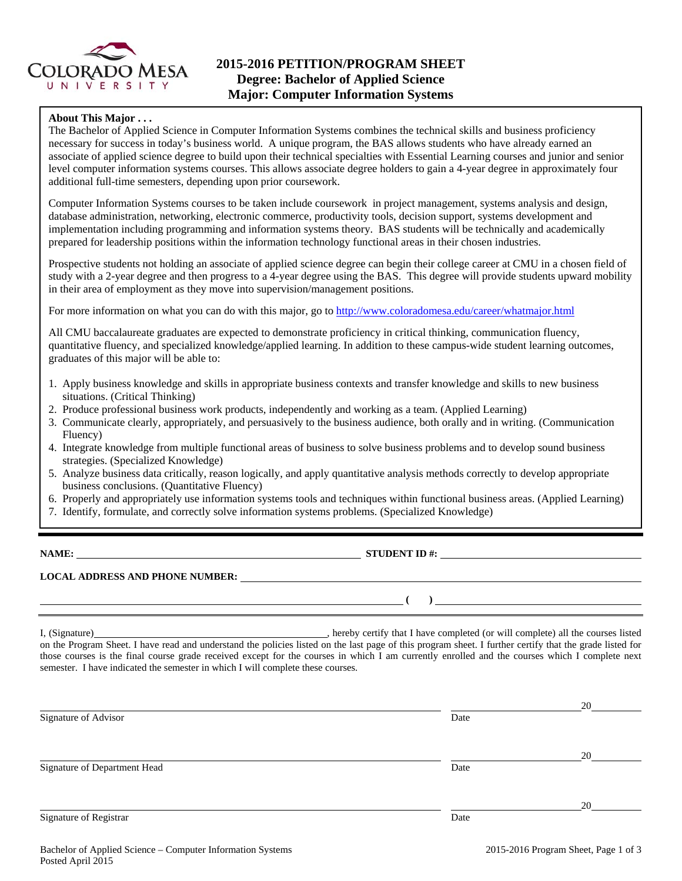

# **2015-2016 PETITION/PROGRAM SHEET Degree: Bachelor of Applied Science Major: Computer Information Systems**

## **About This Major . . .**

The Bachelor of Applied Science in Computer Information Systems combines the technical skills and business proficiency necessary for success in today's business world. A unique program, the BAS allows students who have already earned an associate of applied science degree to build upon their technical specialties with Essential Learning courses and junior and senior level computer information systems courses. This allows associate degree holders to gain a 4-year degree in approximately four additional full-time semesters, depending upon prior coursework.

Computer Information Systems courses to be taken include coursework in project management, systems analysis and design, database administration, networking, electronic commerce, productivity tools, decision support, systems development and implementation including programming and information systems theory. BAS students will be technically and academically prepared for leadership positions within the information technology functional areas in their chosen industries.

Prospective students not holding an associate of applied science degree can begin their college career at CMU in a chosen field of study with a 2-year degree and then progress to a 4-year degree using the BAS. This degree will provide students upward mobility in their area of employment as they move into supervision/management positions.

For more information on what you can do with this major, go to http://www.coloradomesa.edu/career/whatmajor.html

All CMU baccalaureate graduates are expected to demonstrate proficiency in critical thinking, communication fluency, quantitative fluency, and specialized knowledge/applied learning. In addition to these campus-wide student learning outcomes, graduates of this major will be able to:

- 1. Apply business knowledge and skills in appropriate business contexts and transfer knowledge and skills to new business situations. (Critical Thinking)
- 2. Produce professional business work products, independently and working as a team. (Applied Learning)
- 3. Communicate clearly, appropriately, and persuasively to the business audience, both orally and in writing. (Communication Fluency)
- 4. Integrate knowledge from multiple functional areas of business to solve business problems and to develop sound business strategies. (Specialized Knowledge)
- 5. Analyze business data critically, reason logically, and apply quantitative analysis methods correctly to develop appropriate business conclusions. (Quantitative Fluency)
- 6. Properly and appropriately use information systems tools and techniques within functional business areas. (Applied Learning)
- 7. Identify, formulate, and correctly solve information systems problems. (Specialized Knowledge)

**NAME: STUDENT ID #: STUDENT ID #: STUDENT ID #: STUDENT ID #: STUDENT ID #: STUDENT ID #: STUDENT ID #: STUDENT ID #: STUDENT ID #: STUDENT ID #: STUDENT ID #: STUDENT ID #: STUDENT ID #: STUDE** 

 **( )** 

# **LOCAL ADDRESS AND PHONE NUMBER:**

I, (Signature) , hereby certify that I have completed (or will complete) all the courses listed on the Program Sheet. I have read and understand the policies listed on the last page of this program sheet. I further certify that the grade listed for those courses is the final course grade received except for the courses in which I am currently enrolled and the courses which I complete next semester. I have indicated the semester in which I will complete these courses.

|                              |      | 20 |
|------------------------------|------|----|
| Signature of Advisor         | Date |    |
|                              |      |    |
|                              |      | 20 |
| Signature of Department Head | Date |    |
|                              |      |    |
|                              |      | 20 |
| Signature of Registrar       | Date |    |
|                              |      |    |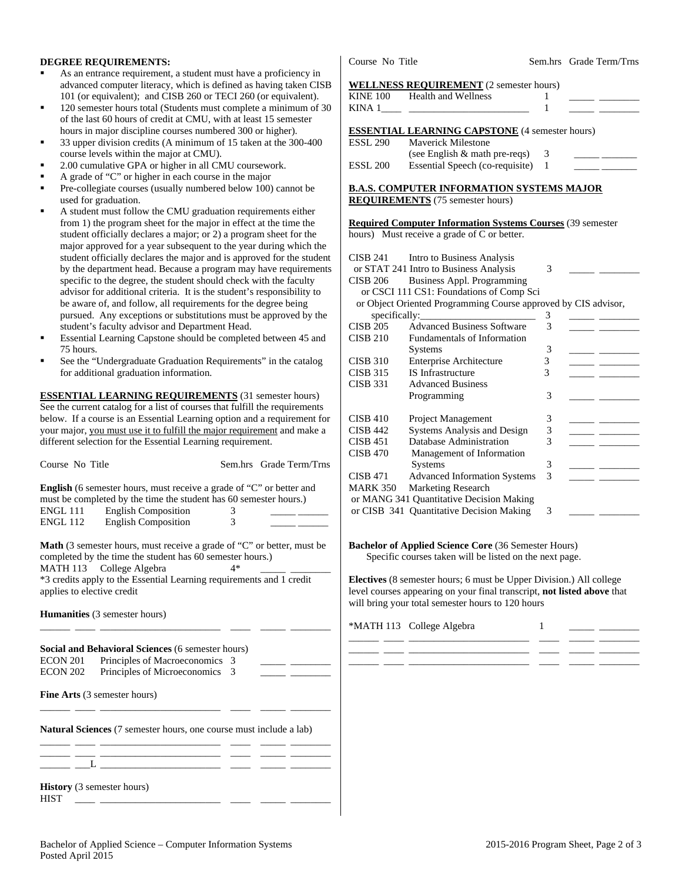### **DEGREE REQUIREMENTS:**

- As an entrance requirement, a student must have a proficiency in advanced computer literacy, which is defined as having taken CISB 101 (or equivalent); and CISB 260 or TECI 260 (or equivalent).
- 120 semester hours total (Students must complete a minimum of 30 of the last 60 hours of credit at CMU, with at least 15 semester hours in major discipline courses numbered 300 or higher).
- 33 upper division credits (A minimum of 15 taken at the 300-400 course levels within the major at CMU).
- 2.00 cumulative GPA or higher in all CMU coursework.
- A grade of "C" or higher in each course in the major
- Pre-collegiate courses (usually numbered below 100) cannot be used for graduation.
- A student must follow the CMU graduation requirements either from 1) the program sheet for the major in effect at the time the student officially declares a major; or 2) a program sheet for the major approved for a year subsequent to the year during which the student officially declares the major and is approved for the student by the department head. Because a program may have requirements specific to the degree, the student should check with the faculty advisor for additional criteria. It is the student's responsibility to be aware of, and follow, all requirements for the degree being pursued. Any exceptions or substitutions must be approved by the student's faculty advisor and Department Head.
- Essential Learning Capstone should be completed between 45 and 75 hours.
- See the "Undergraduate Graduation Requirements" in the catalog for additional graduation information.

**ESSENTIAL LEARNING REQUIREMENTS** (31 semester hours) See the current catalog for a list of courses that fulfill the requirements below. If a course is an Essential Learning option and a requirement for your major, you must use it to fulfill the major requirement and make a different selection for the Essential Learning requirement.

| Course No Title                                                                                                                                                                                                                                                                         |                                                                                                                                                                                                              |        | Sem.hrs Grade Term/Trns |  |
|-----------------------------------------------------------------------------------------------------------------------------------------------------------------------------------------------------------------------------------------------------------------------------------------|--------------------------------------------------------------------------------------------------------------------------------------------------------------------------------------------------------------|--------|-------------------------|--|
| ENGL 111<br>ENGL 112                                                                                                                                                                                                                                                                    | <b>English</b> (6 semester hours, must receive a grade of "C" or better and<br>must be completed by the time the student has 60 semester hours.)<br><b>English Composition</b><br><b>English Composition</b> | 3<br>3 |                         |  |
| <b>Math</b> (3 semester hours, must receive a grade of "C" or better, must be<br>completed by the time the student has 60 semester hours.)<br>College Algebra<br>$4*$<br>MATH 113<br>*3 credits apply to the Essential Learning requirements and 1 credit<br>applies to elective credit |                                                                                                                                                                                                              |        |                         |  |
|                                                                                                                                                                                                                                                                                         | <b>Humanities</b> (3 semester hours)                                                                                                                                                                         |        |                         |  |
| ECON 201<br><b>ECON 202</b>                                                                                                                                                                                                                                                             | Social and Behavioral Sciences (6 semester hours)<br>Principles of Macroeconomics<br>Principles of Microeconomics                                                                                            | 3<br>3 |                         |  |
| <b>Fine Arts</b> (3 semester hours)                                                                                                                                                                                                                                                     |                                                                                                                                                                                                              |        |                         |  |
|                                                                                                                                                                                                                                                                                         | <b>Natural Sciences</b> (7 semester hours, one course must include a lab)                                                                                                                                    |        |                         |  |
|                                                                                                                                                                                                                                                                                         | <u> 1989 - John Harry Barn, amerikansk politiker</u>                                                                                                                                                         |        |                         |  |
| <b>History</b> (3 semester hours)<br><b>HIST</b>                                                                                                                                                                                                                                        |                                                                                                                                                                                                              |        |                         |  |

Course No Title Sem.hrs Grade Term/Trns

#### **WELLNESS REQUIREMENT** (2 semester hours)

|                                           | KINE 100 Health and Wellness                          |     |  |  |
|-------------------------------------------|-------------------------------------------------------|-----|--|--|
|                                           | KINA 1                                                |     |  |  |
|                                           |                                                       |     |  |  |
|                                           | <b>ESSENTIAL LEARNING CAPSTONE</b> (4 semester hours) |     |  |  |
| ESSL 290                                  | <b>Maverick Milestone</b>                             |     |  |  |
|                                           | (see English $&$ math pre-reqs)                       | - 3 |  |  |
| ESSL 200                                  | Essential Speech (co-requisite) 1                     |     |  |  |
|                                           |                                                       |     |  |  |
| B.A.S. COMPUTER INFORMATION SYSTEMS MAJOR |                                                       |     |  |  |

**REQUIREMENTS** (75 semester hours)

**Required Computer Information Systems Courses** (39 semester hours) Must receive a grade of C or better.

|                                          | CISB 241 Intro to Business Analysis                            |   |  |  |
|------------------------------------------|----------------------------------------------------------------|---|--|--|
|                                          | or STAT 241 Intro to Business Analysis                         | 3 |  |  |
| <b>CISB 206</b>                          | <b>Business Appl. Programming</b>                              |   |  |  |
|                                          | or CSCI 111 CS1: Foundations of Comp Sci                       |   |  |  |
|                                          | or Object Oriented Programming Course approved by CIS advisor, |   |  |  |
|                                          | specifically:                                                  | 3 |  |  |
| <b>CISB 205</b>                          | <b>Advanced Business Software</b>                              | 3 |  |  |
| <b>CISB 210</b>                          | Fundamentals of Information                                    |   |  |  |
|                                          | <b>Systems</b>                                                 | 3 |  |  |
| <b>CISB 310</b>                          | <b>Enterprise Architecture</b>                                 | 3 |  |  |
| CISB 315                                 | <b>IS Infrastructure</b>                                       | 3 |  |  |
| <b>CISB 331</b>                          | <b>Advanced Business</b>                                       |   |  |  |
|                                          | Programming                                                    | 3 |  |  |
|                                          |                                                                |   |  |  |
| <b>CISB 410</b>                          | Project Management                                             | 3 |  |  |
| CISB 442                                 | Systems Analysis and Design                                    | 3 |  |  |
| <b>CISB 451</b>                          | Database Administration                                        | 3 |  |  |
| <b>CISB 470</b>                          | Management of Information                                      |   |  |  |
|                                          | <b>Systems</b>                                                 | 3 |  |  |
| <b>CISB 471</b>                          | <b>Advanced Information Systems</b>                            | 3 |  |  |
| <b>MARK 350</b>                          | <b>Marketing Research</b>                                      |   |  |  |
| or MANG 341 Quantitative Decision Making |                                                                |   |  |  |
|                                          | or CISB 341 Quantitative Decision Making                       | 3 |  |  |

#### **Bachelor of Applied Science Core** (36 Semester Hours) Specific courses taken will be listed on the next page.

**Electives** (8 semester hours; 6 must be Upper Division.) All college level courses appearing on your final transcript, **not listed above** that will bring your total semester hours to 120 hours

\*MATH 113 College Algebra 1 \_\_\_\_\_\_ \_\_\_\_ \_\_\_\_\_\_\_\_\_\_\_\_\_\_\_\_\_\_\_\_\_\_\_\_ \_\_\_\_ \_\_\_\_\_ \_\_\_\_\_\_\_\_ \_\_\_\_\_\_ \_\_\_\_ \_\_\_\_\_\_\_\_\_\_\_\_\_\_\_\_\_\_\_\_\_\_\_\_ \_\_\_\_ \_\_\_\_\_ \_\_\_\_\_\_\_\_ \_\_\_\_\_\_ \_\_\_\_ \_\_\_\_\_\_\_\_\_\_\_\_\_\_\_\_\_\_\_\_\_\_\_\_ \_\_\_\_ \_\_\_\_\_ \_\_\_\_\_\_\_\_